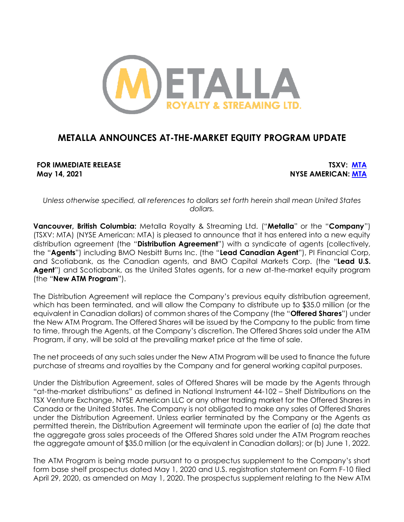

# **METALLA ANNOUNCES AT-THE-MARKET EQUITY PROGRAM UPDATE**

**FOR IMMEDIATE RELEASE TSXV: [MTA](https://money.tmx.com/en/quote/MTA) May 14, 2021 NYSE AMERICAN: [MTA](https://www.nyse.com/quote/XASE:MTA)**

*Unless otherwise specified, all references to dollars set forth herein shall mean United States dollars.*

**Vancouver, British Columbia:** Metalla Royalty & Streaming Ltd. ("**Metalla**" or the "**Company**") (TSXV: MTA) (NYSE American: MTA) is pleased to announce that it has entered into a new equity distribution agreement (the "**Distribution Agreement**") with a syndicate of agents (collectively, the "**Agents**") including BMO Nesbitt Burns Inc. (the "**Lead Canadian Agent**"), PI Financial Corp, and Scotiabank, as the Canadian agents, and BMO Capital Markets Corp. (the "**Lead U.S. Agent**") and Scotiabank, as the United States agents, for a new at-the-market equity program (the "**New ATM Program**").

The Distribution Agreement will replace the Company's previous equity distribution agreement, which has been terminated, and will allow the Company to distribute up to \$35.0 million (or the equivalent in Canadian dollars) of common shares of the Company (the "**Offered Shares**") under the New ATM Program. The Offered Shares will be issued by the Company to the public from time to time, through the Agents, at the Company's discretion. The Offered Shares sold under the ATM Program, if any, will be sold at the prevailing market price at the time of sale.

The net proceeds of any such sales under the New ATM Program will be used to finance the future purchase of streams and royalties by the Company and for general working capital purposes.

Under the Distribution Agreement, sales of Offered Shares will be made by the Agents through "at-the-market distributions" as defined in National Instrument 44-102 – Shelf Distributions on the TSX Venture Exchange, NYSE American LLC or any other trading market for the Offered Shares in Canada or the United States. The Company is not obligated to make any sales of Offered Shares under the Distribution Agreement. Unless earlier terminated by the Company or the Agents as permitted therein, the Distribution Agreement will terminate upon the earlier of (a) the date that the aggregate gross sales proceeds of the Offered Shares sold under the ATM Program reaches the aggregate amount of \$35.0 million (or the equivalent in Canadian dollars); or (b) June 1, 2022.

The ATM Program is being made pursuant to a prospectus supplement to the Company's short form base shelf prospectus dated May 1, 2020 and U.S. registration statement on Form F-10 filed April 29, 2020, as amended on May 1, 2020. The prospectus supplement relating to the New ATM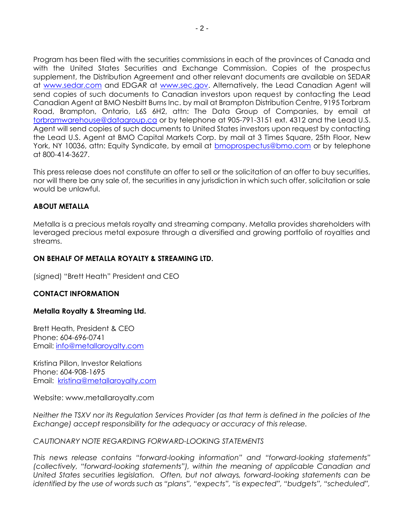Program has been filed with the securities commissions in each of the provinces of Canada and with the United States Securities and Exchange Commission. Copies of the prospectus supplement, the Distribution Agreement and other relevant documents are available on SEDAR at [www.sedar.com](http://www.sedar.com/) and EDGAR at [www.sec.gov.](http://www.sec.gov/) Alternatively, the Lead Canadian Agent will send copies of such documents to Canadian investors upon request by contacting the Lead Canadian Agent at BMO Nesbitt Burns Inc. by mail at Brampton Distribution Centre, 9195 Torbram Road, Brampton, Ontario, L6S 6H2, attn: The Data Group of Companies, by email at [torbramwarehouse@datagroup.ca](mailto:torbramwarehouse@datagroup.ca) or by telephone at 905-791-3151 ext. 4312 and the Lead U.S. Agent will send copies of such documents to United States investors upon request by contacting the Lead U.S. Agent at BMO Capital Markets Corp. by mail at 3 Times Square, 25th Floor, New York, NY 10036, attn: Equity Syndicate, by email at [bmoprospectus@bmo.com](mailto:bmoprospectus@bmo.com) or by telephone at 800-414-3627.

This press release does not constitute an offer to sell or the solicitation of an offer to buy securities, nor will there be any sale of, the securities in any jurisdiction in which such offer, solicitation or sale would be unlawful.

## **ABOUT METALLA**

Metalla is a precious metals royalty and streaming company. Metalla provides shareholders with leveraged precious metal exposure through a diversified and growing portfolio of royalties and streams.

### **ON BEHALF OF METALLA ROYALTY & STREAMING LTD.**

(signed) "Brett Heath" President and CEO

#### **CONTACT INFORMATION**

#### **Metalla Royalty & Streaming Ltd.**

Brett Heath, President & CEO Phone: [604-696-0741](tel:604-696-0741) Email: [info@metallaroyalty.com](mailto:info@metallaroyalty.com)

Kristina Pillon, Investor Relations Phone: 604-908-1695 Email: [kristina@metallaroyalty.com](mailto:kristina@metallaroyalty.com)

Website: [www.metallaroyalty.com](http://www.metallaroyalty.com/)

*Neither the TSXV nor its Regulation Services Provider (as that term is defined in the policies of the Exchange) accept responsibility for the adequacy or accuracy of this release.* 

#### *CAUTIONARY NOTE REGARDING FORWARD-LOOKING STATEMENTS*

*This news release contains "forward-looking information" and "forward-looking statements" (collectively, "forward-looking statements"), within the meaning of applicable Canadian and United States securities legislation. Often, but not always, forward-looking statements can be identified by the use of words such as "plans", "expects", "is expected", "budgets", "scheduled",*